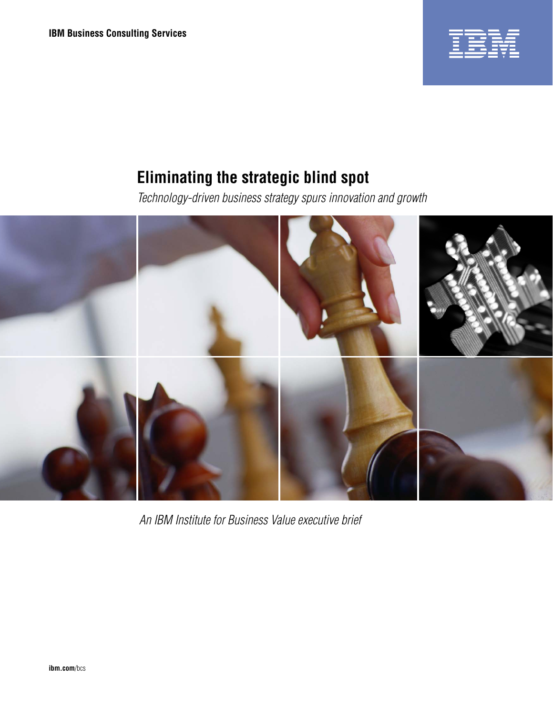

# **Eliminating the strategic blind spot**

Technology-driven business strategy spurs innovation and growth



An IBM Institute for Business Value executive brief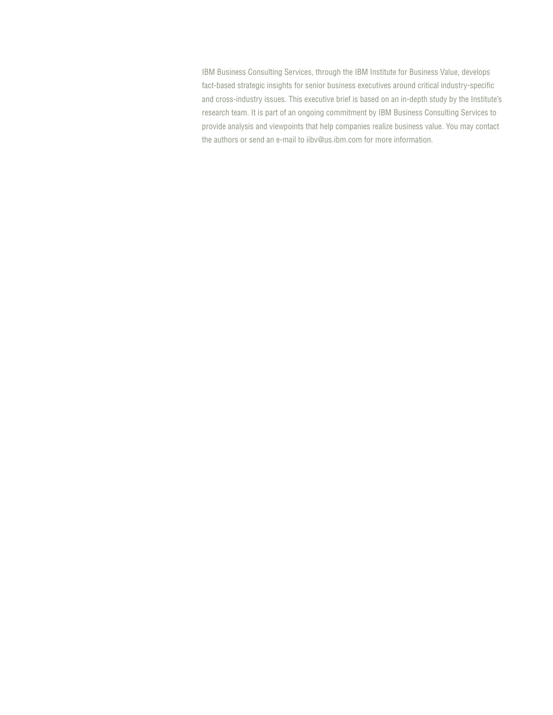IBM Business Consulting Services, through the IBM Institute for Business Value, develops fact-based strategic insights for senior business executives around critical industry-specific and cross-industry issues. This executive brief is based on an in-depth study by the Institute's research team. It is part of an ongoing commitment by IBM Business Consulting Services to provide analysis and viewpoints that help companies realize business value. You may contact the authors or send an e-mail to iibv@us.ibm.com for more information.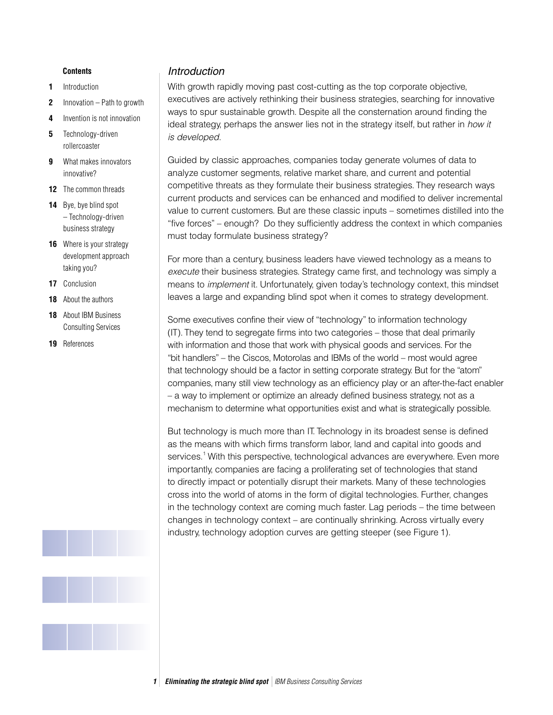### **Contents**

- **1** *Introduction*
- **2** *Innovation Path to growth*
- **4** *Invention is not innovation*
- **5** *Technology-driven rollercoaster*
- **9** *What makes innovators innovative?*
- **12** *The common threads*
- **14** *Bye, bye blind spot – Technology-driven business strategy*
- **16** *Where is your strategy development approach taking you?*
- **17** *Conclusion*
- **18** *About the authors*
- **18** *About IBM Business Consulting Services*
- **19** *References*

## Introduction

With growth rapidly moving past cost-cutting as the top corporate objective, executives are actively rethinking their business strategies, searching for innovative ways to spur sustainable growth. Despite all the consternation around finding the ideal strategy, perhaps the answer lies not in the strategy itself, but rather in how it is developed.

Guided by classic approaches, companies today generate volumes of data to analyze customer segments, relative market share, and current and potential competitive threats as they formulate their business strategies. They research ways current products and services can be enhanced and modified to deliver incremental value to current customers. But are these classic inputs – sometimes distilled into the "five forces" – enough? Do they sufficiently address the context in which companies must today formulate business strategy?

For more than a century, business leaders have viewed technology as a means to execute their business strategies. Strategy came first, and technology was simply a means to *implement* it. Unfortunately, given today's technology context, this mindset leaves a large and expanding blind spot when it comes to strategy development.

Some executives confine their view of "technology" to information technology (IT). They tend to segregate firms into two categories – those that deal primarily with information and those that work with physical goods and services. For the "bit handlers" – the Ciscos, Motorolas and IBMs of the world – most would agree that technology should be a factor in setting corporate strategy. But for the "atom" companies, many still view technology as an efficiency play or an after-the-fact enabler – a way to implement or optimize an already defined business strategy, not as a mechanism to determine what opportunities exist and what is strategically possible.

But technology is much more than IT. Technology in its broadest sense is defined as the means with which firms transform labor, land and capital into goods and services.<sup>1</sup> With this perspective, technological advances are everywhere. Even more importantly, companies are facing a proliferating set of technologies that stand to directly impact or potentially disrupt their markets. Many of these technologies cross into the world of atoms in the form of digital technologies. Further, changes in the technology context are coming much faster. Lag periods – the time between changes in technology context – are continually shrinking. Across virtually every industry, technology adoption curves are getting steeper (see Figure 1).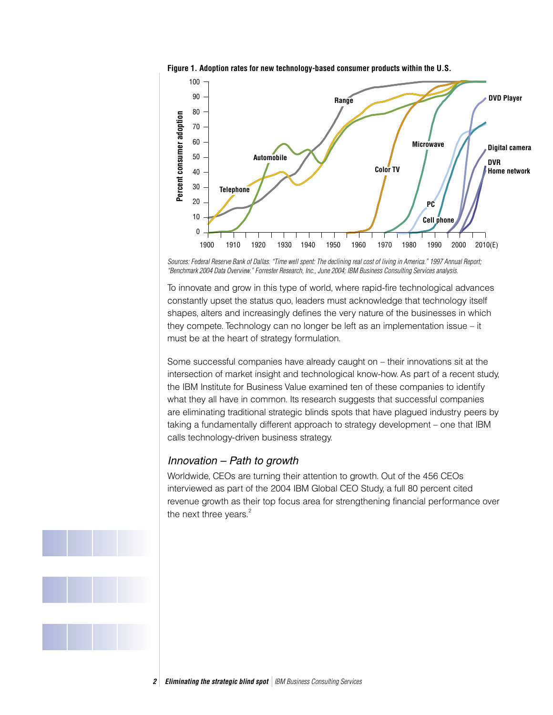



*Sources: Federal Reserve Bank of Dallas. "Time well spent: The declining real cost of living in America." 1997 Annual Report; "Benchmark 2004 Data Overview." Forrester Research, Inc., June 2004; IBM Business Consulting Services analysis.*

To innovate and grow in this type of world, where rapid-fire technological advances constantly upset the status quo, leaders must acknowledge that technology itself shapes, alters and increasingly defines the very nature of the businesses in which they compete. Technology can no longer be left as an implementation issue – it must be at the heart of strategy formulation.

Some successful companies have already caught on – their innovations sit at the intersection of market insight and technological know-how. As part of a recent study, the IBM Institute for Business Value examined ten of these companies to identify what they all have in common. Its research suggests that successful companies are eliminating traditional strategic blinds spots that have plagued industry peers by taking a fundamentally different approach to strategy development – one that IBM calls technology-driven business strategy.

## *Innovation – Path to growth*

Worldwide, CEOs are turning their attention to growth. Out of the 456 CEOs interviewed as part of the 2004 IBM Global CEO Study, a full 80 percent cited revenue growth as their top focus area for strengthening financial performance over the next three years. $2$ 

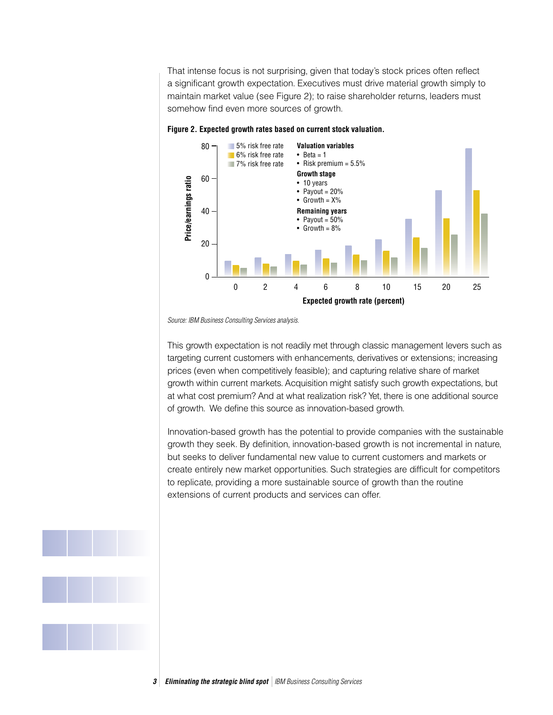That intense focus is not surprising, given that today's stock prices often reflect a significant growth expectation. Executives must drive material growth simply to maintain market value (see Figure 2); to raise shareholder returns, leaders must somehow find even more sources of growth.



**Figure 2. Expected growth rates based on current stock valuation.**

This growth expectation is not readily met through classic management levers such as targeting current customers with enhancements, derivatives or extensions; increasing prices (even when competitively feasible); and capturing relative share of market growth within current markets. Acquisition might satisfy such growth expectations, but at what cost premium? And at what realization risk? Yet, there is one additional source of growth. We define this source as innovation-based growth.

Innovation-based growth has the potential to provide companies with the sustainable growth they seek. By definition, innovation-based growth is not incremental in nature, but seeks to deliver fundamental new value to current customers and markets or create entirely new market opportunities. Such strategies are difficult for competitors to replicate, providing a more sustainable source of growth than the routine extensions of current products and services can offer.



*Source: IBM Business Consulting Services analysis.*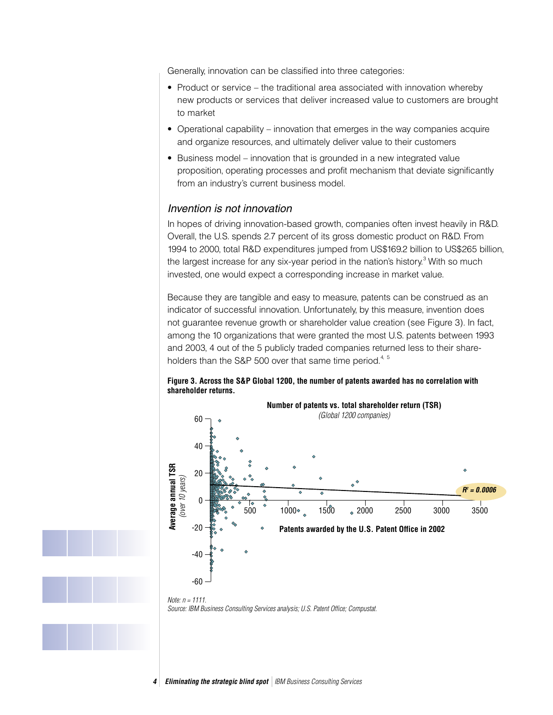Generally, innovation can be classified into three categories:

- Product or service the traditional area associated with innovation whereby new products or services that deliver increased value to customers are brought to market
- Operational capability innovation that emerges in the way companies acquire and organize resources, and ultimately deliver value to their customers
- Business model innovation that is grounded in a new integrated value proposition, operating processes and profit mechanism that deviate significantly from an industry's current business model.

## *Invention is not innovation*

In hopes of driving innovation-based growth, companies often invest heavily in R&D. Overall, the U.S. spends 2.7 percent of its gross domestic product on R&D. From 1994 to 2000, total R&D expenditures jumped from US\$169.2 billion to US\$265 billion, the largest increase for any six-year period in the nation's history.<sup>3</sup> With so much invested, one would expect a corresponding increase in market value.

Because they are tangible and easy to measure, patents can be construed as an indicator of successful innovation. Unfortunately, by this measure, invention does not guarantee revenue growth or shareholder value creation (see Figure 3). In fact, among the 10 organizations that were granted the most U.S. patents between 1993 and 2003, 4 out of the 5 publicly traded companies returned less to their shareholders than the S&P 500 over that same time period.<sup>4, 5</sup>



**Figure 3. Across the S&P Global 1200, the number of patents awarded has no correlation with shareholder returns.** 

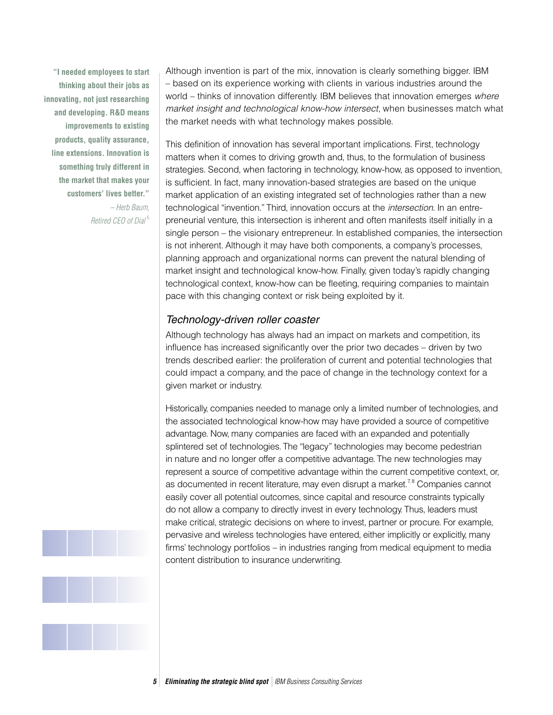**"I needed employees to start thinking about their jobs as innovating, not just researching and developing. R&D means improvements to existing products, quality assurance, line extensions. Innovation is something truly different in the market that makes your customers' lives better."**  *– Herb Baum, Retired CEO of Dial <sup>6</sup>*

Although invention is part of the mix, innovation is clearly something bigger. IBM – based on its experience working with clients in various industries around the world – thinks of innovation differently. IBM believes that innovation emerges where market insight and technological know-how intersect, when businesses match what the market needs with what technology makes possible.

This definition of innovation has several important implications. First, technology matters when it comes to driving growth and, thus, to the formulation of business strategies. Second, when factoring in technology, know-how, as opposed to invention, is sufficient. In fact, many innovation-based strategies are based on the unique market application of an existing integrated set of technologies rather than a new technological "invention." Third, innovation occurs at the *intersection*. In an entrepreneurial venture, this intersection is inherent and often manifests itself initially in a single person – the visionary entrepreneur. In established companies, the intersection is not inherent. Although it may have both components, a company's processes, planning approach and organizational norms can prevent the natural blending of market insight and technological know-how. Finally, given today's rapidly changing technological context, know-how can be fleeting, requiring companies to maintain pace with this changing context or risk being exploited by it.

## *Technology-driven roller coaster*

Although technology has always had an impact on markets and competition, its influence has increased significantly over the prior two decades – driven by two trends described earlier: the proliferation of current and potential technologies that could impact a company, and the pace of change in the technology context for a given market or industry.

Historically, companies needed to manage only a limited number of technologies, and the associated technological know-how may have provided a source of competitive advantage. Now, many companies are faced with an expanded and potentially splintered set of technologies. The "legacy" technologies may become pedestrian in nature and no longer offer a competitive advantage. The new technologies may represent a source of competitive advantage within the current competitive context, or, as documented in recent literature, may even disrupt a market.<sup>7,8</sup> Companies cannot easily cover all potential outcomes, since capital and resource constraints typically do not allow a company to directly invest in every technology. Thus, leaders must make critical, strategic decisions on where to invest, partner or procure. For example, pervasive and wireless technologies have entered, either implicitly or explicitly, many firms' technology portfolios – in industries ranging from medical equipment to media content distribution to insurance underwriting.

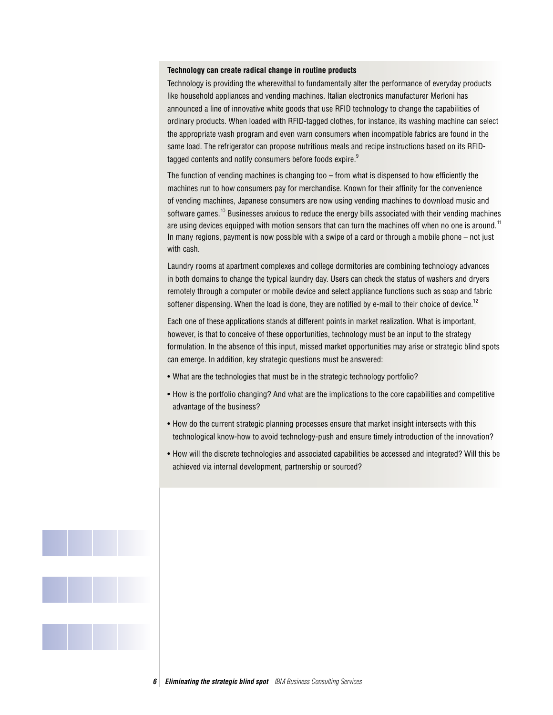#### **Technology can create radical change in routine products**

Technology is providing the wherewithal to fundamentally alter the performance of everyday products like household appliances and vending machines. Italian electronics manufacturer Merloni has announced a line of innovative white goods that use RFID technology to change the capabilities of ordinary products. When loaded with RFID-tagged clothes, for instance, its washing machine can select the appropriate wash program and even warn consumers when incompatible fabrics are found in the same load. The refrigerator can propose nutritious meals and recipe instructions based on its RFIDtagged contents and notify consumers before foods expire.<sup>9</sup>

The function of vending machines is changing too – from what is dispensed to how efficiently the machines run to how consumers pay for merchandise. Known for their affinity for the convenience of vending machines, Japanese consumers are now using vending machines to download music and software games.<sup>10</sup> Businesses anxious to reduce the energy bills associated with their vending machines are using devices equipped with motion sensors that can turn the machines off when no one is around.<sup>11</sup> In many regions, payment is now possible with a swipe of a card or through a mobile phone – not just with cash.

Laundry rooms at apartment complexes and college dormitories are combining technology advances in both domains to change the typical laundry day. Users can check the status of washers and dryers remotely through a computer or mobile device and select appliance functions such as soap and fabric softener dispensing. When the load is done, they are notified by e-mail to their choice of device.<sup>12</sup>

Each one of these applications stands at different points in market realization. What is important, however, is that to conceive of these opportunities, technology must be an input to the strategy formulation. In the absence of this input, missed market opportunities may arise or strategic blind spots can emerge. In addition, key strategic questions must be answered:

- What are the technologies that must be in the strategic technology portfolio?
- How is the portfolio changing? And what are the implications to the core capabilities and competitive advantage of the business?
- How do the current strategic planning processes ensure that market insight intersects with this technological know-how to avoid technology-push and ensure timely introduction of the innovation?
- How will the discrete technologies and associated capabilities be accessed and integrated? Will this be achieved via internal development, partnership or sourced?

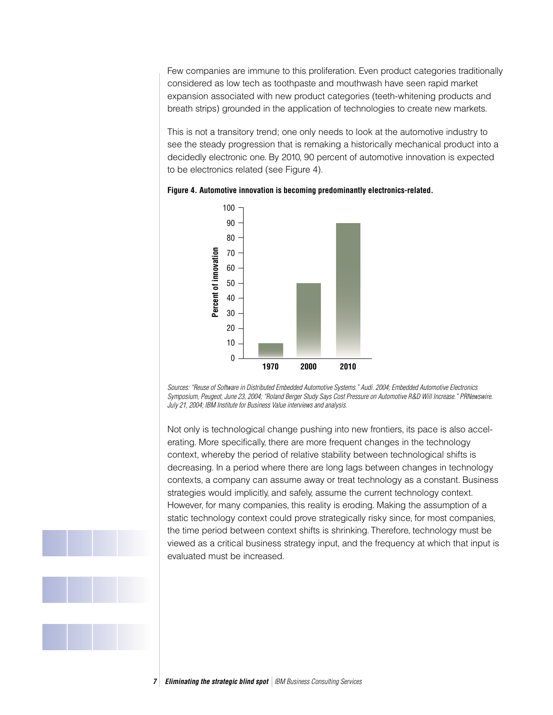Few companies are immune to this proliferation. Even product categories traditionally considered as low tech as toothpaste and mouthwash have seen rapid market expansion associated with new product categories (teeth-whitening products and breath strips) grounded in the application of technologies to create new markets.

This is not a transitory trend; one only needs to look at the automotive industry to see the steady progression that is remaking a historically mechanical product into a decidedly electronic one. By 2010, 90 percent of automotive innovation is expected to be electronics related (see Figure 4).





*Sources: "Reuse of Software in Distributed Embedded Automotive Systems." Audi. 2004; Embedded Automotive Electronics Symposium, Peugeot, June 23, 2004; "Roland Berger Study Says Cost Pressure on Automotive R&D Will Increase." PRNewswire. July 21, 2004; IBM Institute for Business Value interviews and analysis.* 

Not only is technological change pushing into new frontiers, its pace is also accelerating. More specifically, there are more frequent changes in the technology context, whereby the period of relative stability between technological shifts is decreasing. In a period where there are long lags between changes in technology contexts, a company can assume away or treat technology as a constant. Business strategies would implicitly, and safely, assume the current technology context. However, for many companies, this reality is eroding. Making the assumption of a static technology context could prove strategically risky since, for most companies, the time period between context shifts is shrinking. Therefore, technology must be viewed as a critical business strategy input, and the frequency at which that input is evaluated must be increased.

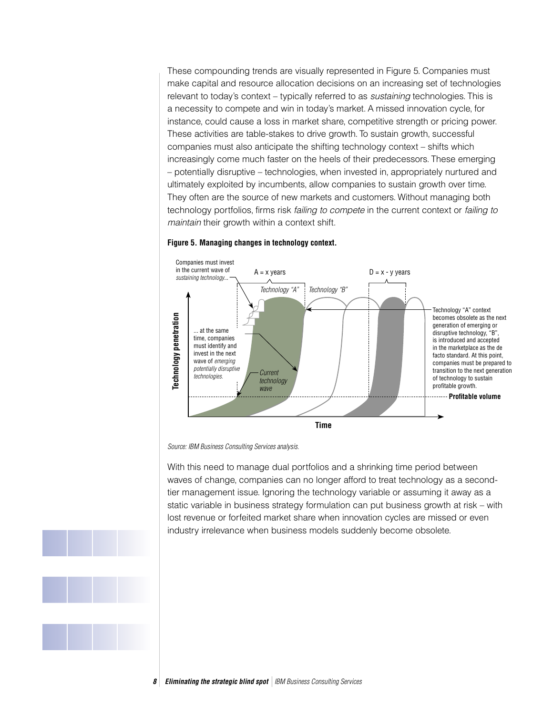These compounding trends are visually represented in Figure 5. Companies must make capital and resource allocation decisions on an increasing set of technologies relevant to today's context – typically referred to as *sustaining* technologies. This is a necessity to compete and win in today's market. A missed innovation cycle, for instance, could cause a loss in market share, competitive strength or pricing power. These activities are table-stakes to drive growth. To sustain growth, successful companies must also anticipate the shifting technology context – shifts which increasingly come much faster on the heels of their predecessors. These emerging – potentially disruptive – technologies, when invested in, appropriately nurtured and ultimately exploited by incumbents, allow companies to sustain growth over time. They often are the source of new markets and customers. Without managing both technology portfolios, firms risk failing to compete in the current context or failing to maintain their growth within a context shift.



#### **Figure 5. Managing changes in technology context.**

With this need to manage dual portfolios and a shrinking time period between waves of change, companies can no longer afford to treat technology as a secondtier management issue. Ignoring the technology variable or assuming it away as a static variable in business strategy formulation can put business growth at risk – with lost revenue or forfeited market share when innovation cycles are missed or even industry irrelevance when business models suddenly become obsolete.



*Source: IBM Business Consulting Services analysis.*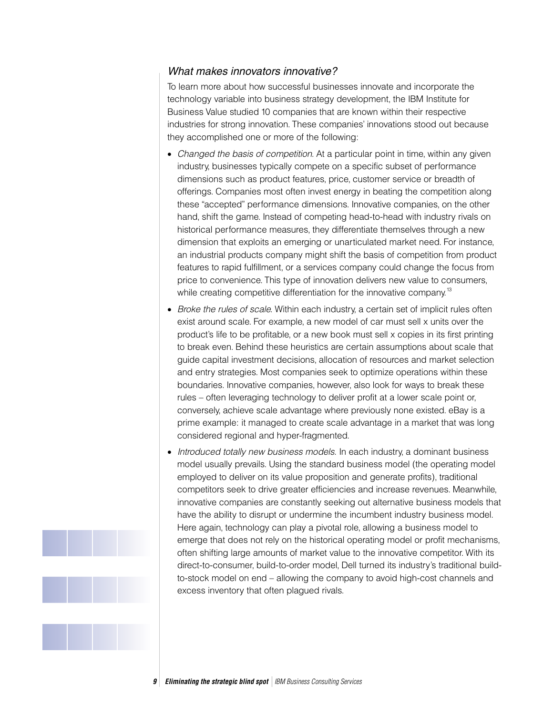# *What makes innovators innovative?*

To learn more about how successful businesses innovate and incorporate the technology variable into business strategy development, the IBM Institute for Business Value studied 10 companies that are known within their respective industries for strong innovation. These companies' innovations stood out because they accomplished one or more of the following:

- Changed the basis of competition. At a particular point in time, within any given industry, businesses typically compete on a specific subset of performance dimensions such as product features, price, customer service or breadth of offerings. Companies most often invest energy in beating the competition along these "accepted" performance dimensions. Innovative companies, on the other hand, shift the game. Instead of competing head-to-head with industry rivals on historical performance measures, they differentiate themselves through a new dimension that exploits an emerging or unarticulated market need. For instance, an industrial products company might shift the basis of competition from product features to rapid fulfillment, or a services company could change the focus from price to convenience. This type of innovation delivers new value to consumers, while creating competitive differentiation for the innovative company.<sup>13</sup>
- Broke the rules of scale. Within each industry, a certain set of implicit rules often exist around scale. For example, a new model of car must sell x units over the product's life to be profitable, or a new book must sell x copies in its first printing to break even. Behind these heuristics are certain assumptions about scale that guide capital investment decisions, allocation of resources and market selection and entry strategies. Most companies seek to optimize operations within these boundaries. Innovative companies, however, also look for ways to break these rules – often leveraging technology to deliver profit at a lower scale point or, conversely, achieve scale advantage where previously none existed. eBay is a prime example: it managed to create scale advantage in a market that was long considered regional and hyper-fragmented.
- Introduced totally new business models. In each industry, a dominant business model usually prevails. Using the standard business model (the operating model employed to deliver on its value proposition and generate profits), traditional competitors seek to drive greater efficiencies and increase revenues. Meanwhile, innovative companies are constantly seeking out alternative business models that have the ability to disrupt or undermine the incumbent industry business model. Here again, technology can play a pivotal role, allowing a business model to emerge that does not rely on the historical operating model or profit mechanisms, often shifting large amounts of market value to the innovative competitor. With its direct-to-consumer, build-to-order model, Dell turned its industry's traditional buildto-stock model on end – allowing the company to avoid high-cost channels and excess inventory that often plagued rivals.

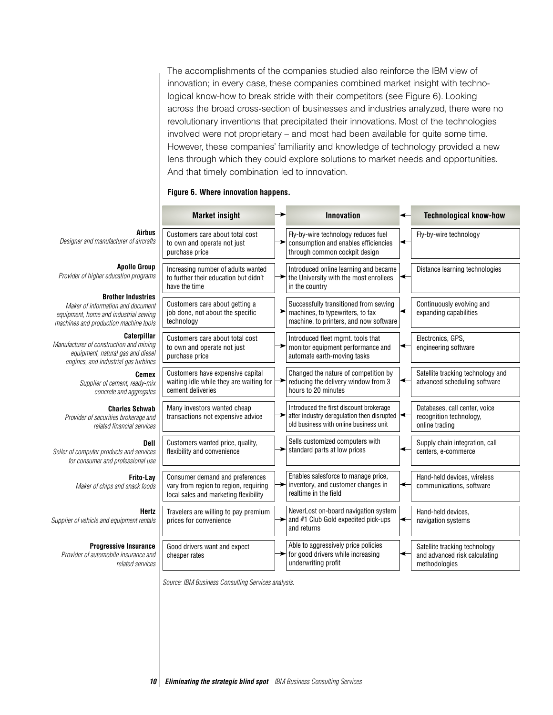The accomplishments of the companies studied also reinforce the IBM view of innovation; in every case, these companies combined market insight with technological know-how to break stride with their competitors (see Figure 6). Looking across the broad cross-section of businesses and industries analyzed, there were no revolutionary inventions that precipitated their innovations. Most of the technologies involved were not proprietary – and most had been available for quite some time. However, these companies' familiarity and knowledge of technology provided a new lens through which they could explore solutions to market needs and opportunities. And that timely combination led to innovation.

### **Figure 6. Where innovation happens.**

|                                                                                                                                                  | <b>Market insight</b>                                                                                             |   | Innovation                                                                                                                                                  |   | <b>Technological know-how</b>                                                   |
|--------------------------------------------------------------------------------------------------------------------------------------------------|-------------------------------------------------------------------------------------------------------------------|---|-------------------------------------------------------------------------------------------------------------------------------------------------------------|---|---------------------------------------------------------------------------------|
| Airbus<br>Designer and manufacturer of aircrafts                                                                                                 | Customers care about total cost<br>to own and operate not just<br>purchase price                                  | ▸ | Fly-by-wire technology reduces fuel<br>consumption and enables efficiencies<br>through common cockpit design                                                | ↞ | Fly-by-wire technology                                                          |
| <b>Apollo Group</b><br>Provider of higher education programs                                                                                     | Increasing number of adults wanted<br>to further their education but didn't<br>have the time                      |   | Introduced online learning and became<br>the University with the most enrollees<br>in the country                                                           | ↞ | Distance learning technologies                                                  |
| <b>Brother Industries</b><br>Maker of information and document<br>equipment, home and industrial sewing<br>machines and production machine tools | Customers care about getting a<br>job done, not about the specific<br>technology                                  |   | Successfully transitioned from sewing<br>machines, to typewriters, to fax<br>machine, to printers, and now software                                         | ↞ | Continuously evolving and<br>expanding capabilities                             |
| Caterpillar<br>Manufacturer of construction and mining<br>equipment, natural gas and diesel<br>engines, and industrial gas turbines              | Customers care about total cost<br>to own and operate not just<br>purchase price                                  |   | Introduced fleet mgmt. tools that<br>monitor equipment performance and<br>automate earth-moving tasks                                                       | ↞ | Electronics, GPS,<br>engineering software                                       |
| Cemex<br>Supplier of cement, ready-mix<br>concrete and aggregates                                                                                | Customers have expensive capital<br>waiting idle while they are waiting for<br>cement deliveries                  |   | Changed the nature of competition by<br>reducing the delivery window from 3<br>hours to 20 minutes                                                          | ↞ | Satellite tracking technology and<br>advanced scheduling software               |
| <b>Charles Schwab</b><br>Provider of securities brokerage and<br>related financial services                                                      | Many investors wanted cheap<br>transactions not expensive advice                                                  |   | Introduced the first discount brokerage<br>after industry deregulation then disrupted $\left  \leftarrow \right $<br>old business with online business unit |   | Databases, call center, voice<br>recognition technology,<br>online trading      |
| <b>Dell</b><br>Seller of computer products and services<br>for consumer and professional use                                                     | Customers wanted price, quality,<br>flexibility and convenience                                                   |   | Sells customized computers with<br>standard parts at low prices                                                                                             | ↞ | Supply chain integration, call<br>centers, e-commerce                           |
| Frito-Lay<br>Maker of chips and snack foods                                                                                                      | Consumer demand and preferences<br>vary from region to region, requiring<br>local sales and marketing flexibility |   | Enables salesforce to manage price,<br>inventory, and customer changes in<br>realtime in the field                                                          |   | Hand-held devices, wireless<br>communications, software                         |
| Hertz<br>Supplier of vehicle and equipment rentals                                                                                               | Travelers are willing to pay premium<br>prices for convenience                                                    |   | NeverLost on-board navigation system<br>and #1 Club Gold expedited pick-ups<br>and returns                                                                  | ↞ | Hand-held devices,<br>navigation systems                                        |
| <b>Progressive Insurance</b><br>Provider of automobile insurance and<br>related services                                                         | Good drivers want and expect<br>cheaper rates                                                                     |   | Able to aggressively price policies<br>for good drivers while increasing<br>underwriting profit                                                             | ↞ | Satellite tracking technology<br>and advanced risk calculating<br>methodologies |

*Source: IBM Business Consulting Services analysis.*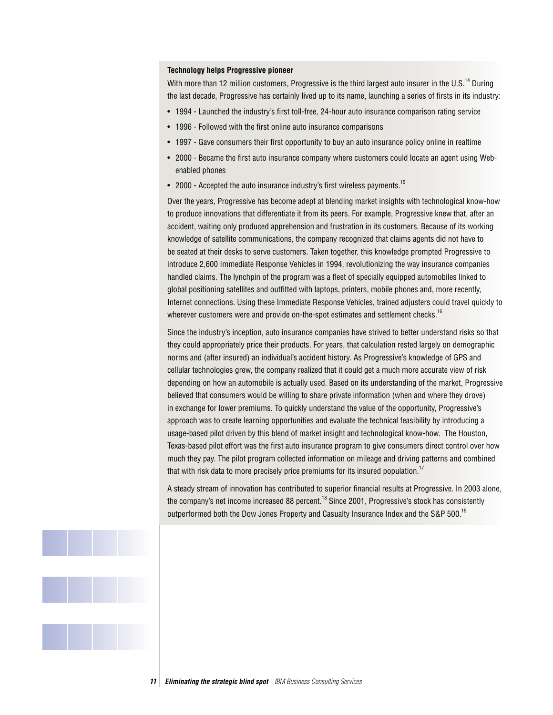#### **Technology helps Progressive pioneer**

With more than 12 million customers, Progressive is the third largest auto insurer in the U.S.<sup>14</sup> During the last decade, Progressive has certainly lived up to its name, launching a series of firsts in its industry:

- 1994 Launched the industry's first toll-free, 24-hour auto insurance comparison rating service
- 1996 Followed with the first online auto insurance comparisons
- 1997 Gave consumers their first opportunity to buy an auto insurance policy online in realtime
- 2000 Became the first auto insurance company where customers could locate an agent using Webenabled phones
- 2000 Accepted the auto insurance industry's first wireless payments.<sup>15</sup>

Over the years, Progressive has become adept at blending market insights with technological know-how to produce innovations that differentiate it from its peers. For example, Progressive knew that, after an accident, waiting only produced apprehension and frustration in its customers. Because of its working knowledge of satellite communications, the company recognized that claims agents did not have to be seated at their desks to serve customers. Taken together, this knowledge prompted Progressive to introduce 2,600 Immediate Response Vehicles in 1994, revolutionizing the way insurance companies handled claims. The lynchpin of the program was a fleet of specially equipped automobiles linked to global positioning satellites and outfitted with laptops, printers, mobile phones and, more recently, Internet connections. Using these Immediate Response Vehicles, trained adjusters could travel quickly to wherever customers were and provide on-the-spot estimates and settlement checks.<sup>16</sup>

Since the industry's inception, auto insurance companies have strived to better understand risks so that they could appropriately price their products. For years, that calculation rested largely on demographic norms and (after insured) an individual's accident history. As Progressive's knowledge of GPS and cellular technologies grew, the company realized that it could get a much more accurate view of risk depending on how an automobile is actually used. Based on its understanding of the market, Progressive believed that consumers would be willing to share private information (when and where they drove) in exchange for lower premiums. To quickly understand the value of the opportunity, Progressive's approach was to create learning opportunities and evaluate the technical feasibility by introducing a usage-based pilot driven by this blend of market insight and technological know-how. The Houston, Texas-based pilot effort was the first auto insurance program to give consumers direct control over how much they pay. The pilot program collected information on mileage and driving patterns and combined that with risk data to more precisely price premiums for its insured population.<sup>17</sup>

A steady stream of innovation has contributed to superior financial results at Progressive. In 2003 alone, the company's net income increased 88 percent.<sup>18</sup> Since 2001, Progressive's stock has consistently outperformed both the Dow Jones Property and Casualty Insurance Index and the S&P 500.<sup>19</sup>

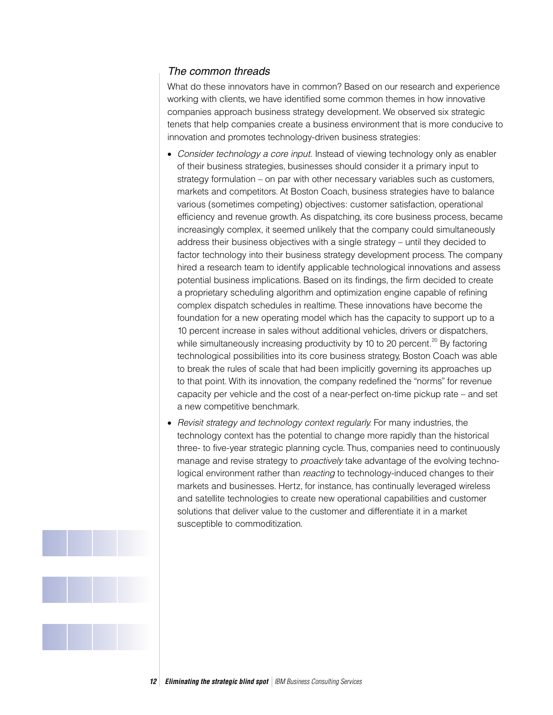# *The common threads*

What do these innovators have in common? Based on our research and experience working with clients, we have identified some common themes in how innovative companies approach business strategy development. We observed six strategic tenets that help companies create a business environment that is more conducive to innovation and promotes technology-driven business strategies:

- Consider technology a core input. Instead of viewing technology only as enabler of their business strategies, businesses should consider it a primary input to strategy formulation – on par with other necessary variables such as customers, markets and competitors. At Boston Coach, business strategies have to balance various (sometimes competing) objectives: customer satisfaction, operational efficiency and revenue growth. As dispatching, its core business process, became increasingly complex, it seemed unlikely that the company could simultaneously address their business objectives with a single strategy – until they decided to factor technology into their business strategy development process. The company hired a research team to identify applicable technological innovations and assess potential business implications. Based on its findings, the firm decided to create a proprietary scheduling algorithm and optimization engine capable of refining complex dispatch schedules in realtime. These innovations have become the foundation for a new operating model which has the capacity to support up to a 10 percent increase in sales without additional vehicles, drivers or dispatchers, while simultaneously increasing productivity by 10 to 20 percent. $^{20}$  By factoring technological possibilities into its core business strategy, Boston Coach was able to break the rules of scale that had been implicitly governing its approaches up to that point. With its innovation, the company redefined the "norms" for revenue capacity per vehicle and the cost of a near-perfect on-time pickup rate – and set a new competitive benchmark.
- Revisit strategy and technology context regularly. For many industries, the technology context has the potential to change more rapidly than the historical three- to five-year strategic planning cycle. Thus, companies need to continuously manage and revise strategy to proactively take advantage of the evolving technological environment rather than *reacting* to technology-induced changes to their markets and businesses. Hertz, for instance, has continually leveraged wireless and satellite technologies to create new operational capabilities and customer solutions that deliver value to the customer and differentiate it in a market susceptible to commoditization.

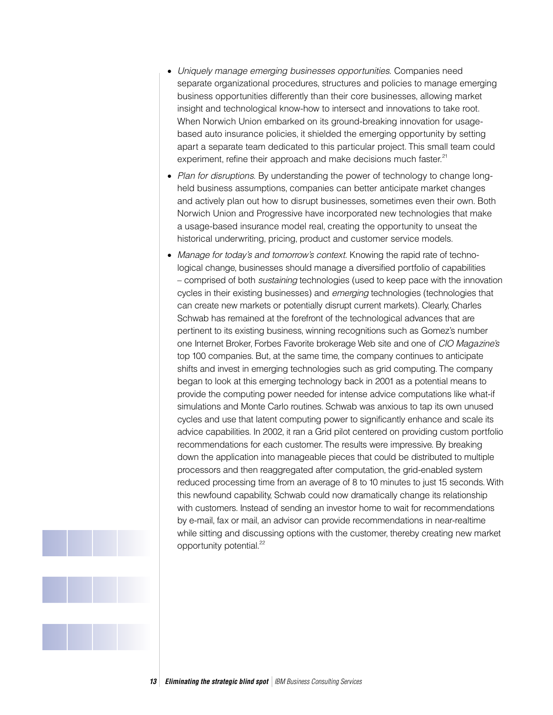- Uniquely manage emerging businesses opportunities. Companies need separate organizational procedures, structures and policies to manage emerging business opportunities differently than their core businesses, allowing market insight and technological know-how to intersect and innovations to take root. When Norwich Union embarked on its ground-breaking innovation for usagebased auto insurance policies, it shielded the emerging opportunity by setting apart a separate team dedicated to this particular project. This small team could experiment, refine their approach and make decisions much faster.<sup>21</sup>
- Plan for disruptions. By understanding the power of technology to change longheld business assumptions, companies can better anticipate market changes and actively plan out how to disrupt businesses, sometimes even their own. Both Norwich Union and Progressive have incorporated new technologies that make a usage-based insurance model real, creating the opportunity to unseat the historical underwriting, pricing, product and customer service models.
- Manage for today's and tomorrow's context. Knowing the rapid rate of technological change, businesses should manage a diversified portfolio of capabilities – comprised of both sustaining technologies (used to keep pace with the innovation cycles in their existing businesses) and *emerging* technologies (technologies that can create new markets or potentially disrupt current markets). Clearly, Charles Schwab has remained at the forefront of the technological advances that are pertinent to its existing business, winning recognitions such as Gomez's number one Internet Broker, Forbes Favorite brokerage Web site and one of CIO Magazine's top 100 companies. But, at the same time, the company continues to anticipate shifts and invest in emerging technologies such as grid computing. The company began to look at this emerging technology back in 2001 as a potential means to provide the computing power needed for intense advice computations like what-if simulations and Monte Carlo routines. Schwab was anxious to tap its own unused cycles and use that latent computing power to significantly enhance and scale its advice capabilities. In 2002, it ran a Grid pilot centered on providing custom portfolio recommendations for each customer. The results were impressive. By breaking down the application into manageable pieces that could be distributed to multiple processors and then reaggregated after computation, the grid-enabled system reduced processing time from an average of 8 to 10 minutes to just 15 seconds. With this newfound capability, Schwab could now dramatically change its relationship with customers. Instead of sending an investor home to wait for recommendations by e-mail, fax or mail, an advisor can provide recommendations in near-realtime while sitting and discussing options with the customer, thereby creating new market opportunity potential.<sup>22</sup>

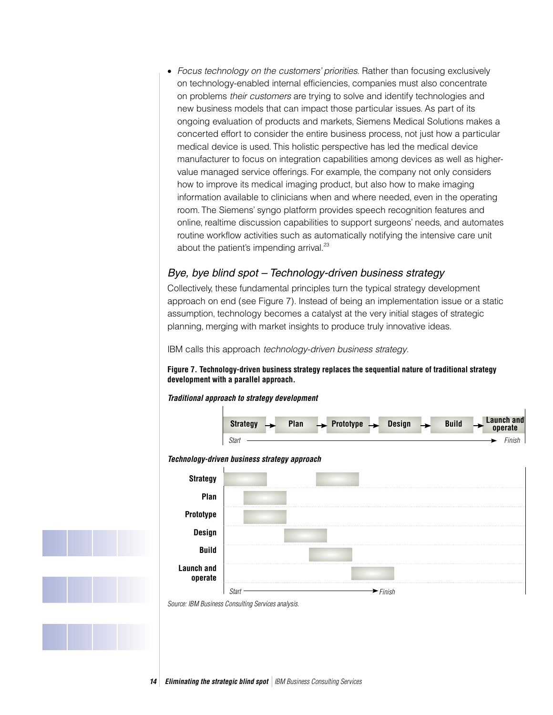• Focus technology on the customers' priorities. Rather than focusing exclusively on technology-enabled internal efficiencies, companies must also concentrate on problems their customers are trying to solve and identify technologies and new business models that can impact those particular issues. As part of its ongoing evaluation of products and markets, Siemens Medical Solutions makes a concerted effort to consider the entire business process, not just how a particular medical device is used. This holistic perspective has led the medical device manufacturer to focus on integration capabilities among devices as well as highervalue managed service offerings. For example, the company not only considers how to improve its medical imaging product, but also how to make imaging information available to clinicians when and where needed, even in the operating room. The Siemens' syngo platform provides speech recognition features and online, realtime discussion capabilities to support surgeons' needs, and automates routine workflow activities such as automatically notifying the intensive care unit about the patient's impending arrival.<sup>23</sup>

# *Bye, bye blind spot – Technology-driven business strategy*

Collectively, these fundamental principles turn the typical strategy development approach on end (see Figure 7). Instead of being an implementation issue or a static assumption, technology becomes a catalyst at the very initial stages of strategic planning, merging with market insights to produce truly innovative ideas.

IBM calls this approach technology-driven business strategy.

**Figure 7. Technology-driven business strategy replaces the sequential nature of traditional strategy development with a parallel approach.**

## **Traditional approach to strategy development**



### **Technology-driven business strategy approach**





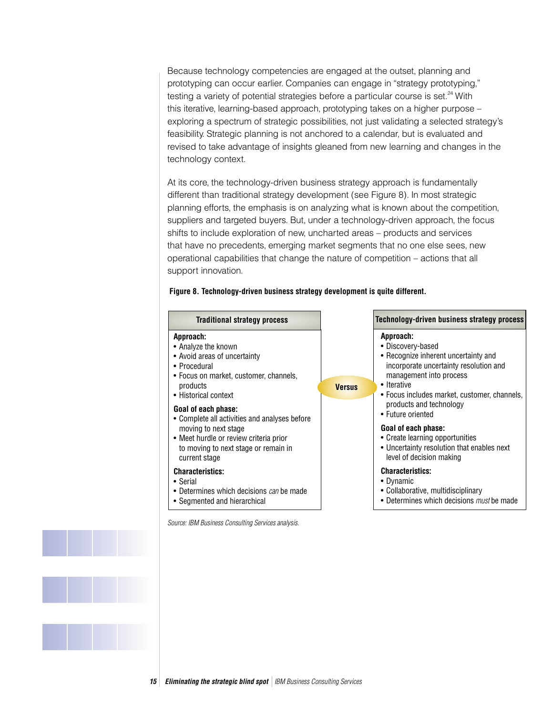Because technology competencies are engaged at the outset, planning and prototyping can occur earlier. Companies can engage in "strategy prototyping," testing a variety of potential strategies before a particular course is set. $24$  With this iterative, learning-based approach, prototyping takes on a higher purpose – exploring a spectrum of strategic possibilities, not just validating a selected strategy's feasibility. Strategic planning is not anchored to a calendar, but is evaluated and revised to take advantage of insights gleaned from new learning and changes in the technology context.

At its core, the technology-driven business strategy approach is fundamentally different than traditional strategy development (see Figure 8). In most strategic planning efforts, the emphasis is on analyzing what is known about the competition, suppliers and targeted buyers. But, under a technology-driven approach, the focus shifts to include exploration of new, uncharted areas – products and services that have no precedents, emerging market segments that no one else sees, new operational capabilities that change the nature of competition – actions that all support innovation.



## **Figure 8. Technology-driven business strategy development is quite different.**

*Source: IBM Business Consulting Services analysis.*

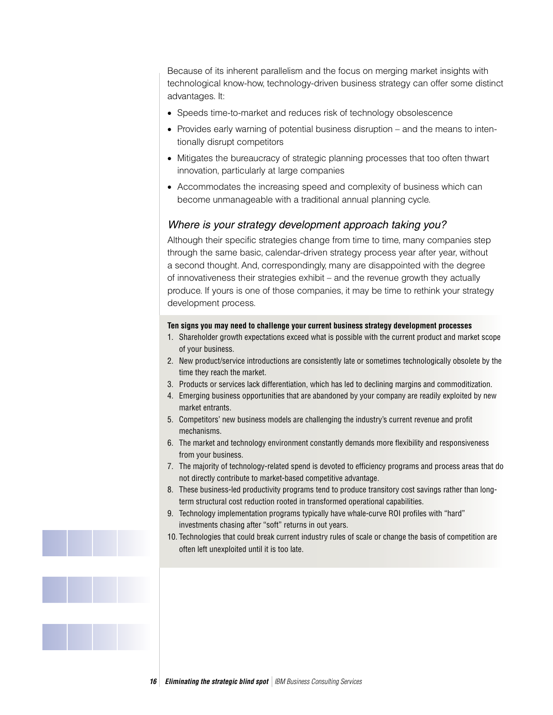Because of its inherent parallelism and the focus on merging market insights with technological know-how, technology-driven business strategy can offer some distinct advantages. It:

- Speeds time-to-market and reduces risk of technology obsolescence
- Provides early warning of potential business disruption and the means to intentionally disrupt competitors
- Mitigates the bureaucracy of strategic planning processes that too often thwart innovation, particularly at large companies
- Accommodates the increasing speed and complexity of business which can become unmanageable with a traditional annual planning cycle.

## *Where is your strategy development approach taking you?*

Although their specific strategies change from time to time, many companies step through the same basic, calendar-driven strategy process year after year, without a second thought. And, correspondingly, many are disappointed with the degree of innovativeness their strategies exhibit – and the revenue growth they actually produce. If yours is one of those companies, it may be time to rethink your strategy development process.

### **Ten signs you may need to challenge your current business strategy development processes**

- 1. Shareholder growth expectations exceed what is possible with the current product and market scope of your business.
- 2. New product/service introductions are consistently late or sometimes technologically obsolete by the time they reach the market.
- 3. Products or services lack differentiation, which has led to declining margins and commoditization.
- 4. Emerging business opportunities that are abandoned by your company are readily exploited by new market entrants.
- 5. Competitors' new business models are challenging the industry's current revenue and profit mechanisms.
- 6. The market and technology environment constantly demands more flexibility and responsiveness from your business.
- 7. The majority of technology-related spend is devoted to efficiency programs and process areas that do not directly contribute to market-based competitive advantage.
- 8. These business-led productivity programs tend to produce transitory cost savings rather than longterm structural cost reduction rooted in transformed operational capabilities.
- 9. Technology implementation programs typically have whale-curve ROI profiles with "hard" investments chasing after "soft" returns in out years.
- 10. Technologies that could break current industry rules of scale or change the basis of competition are often left unexploited until it is too late.

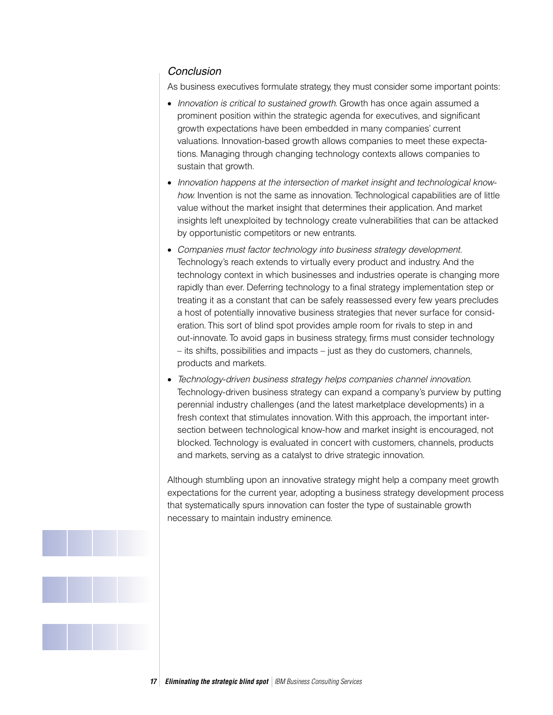# *Conclusion*

As business executives formulate strategy, they must consider some important points:

- Innovation is critical to sustained growth. Growth has once again assumed a prominent position within the strategic agenda for executives, and significant growth expectations have been embedded in many companies' current valuations. Innovation-based growth allows companies to meet these expectations. Managing through changing technology contexts allows companies to sustain that growth.
- Innovation happens at the intersection of market insight and technological knowhow. Invention is not the same as innovation. Technological capabilities are of little value without the market insight that determines their application. And market insights left unexploited by technology create vulnerabilities that can be attacked by opportunistic competitors or new entrants.
- Companies must factor technology into business strategy development. Technology's reach extends to virtually every product and industry. And the technology context in which businesses and industries operate is changing more rapidly than ever. Deferring technology to a final strategy implementation step or treating it as a constant that can be safely reassessed every few years precludes a host of potentially innovative business strategies that never surface for consideration. This sort of blind spot provides ample room for rivals to step in and out-innovate. To avoid gaps in business strategy, firms must consider technology – its shifts, possibilities and impacts – just as they do customers, channels, products and markets.
- Technology-driven business strategy helps companies channel innovation. Technology-driven business strategy can expand a company's purview by putting perennial industry challenges (and the latest marketplace developments) in a fresh context that stimulates innovation. With this approach, the important intersection between technological know-how and market insight is encouraged, not blocked. Technology is evaluated in concert with customers, channels, products and markets, serving as a catalyst to drive strategic innovation.

Although stumbling upon an innovative strategy might help a company meet growth expectations for the current year, adopting a business strategy development process that systematically spurs innovation can foster the type of sustainable growth necessary to maintain industry eminence.

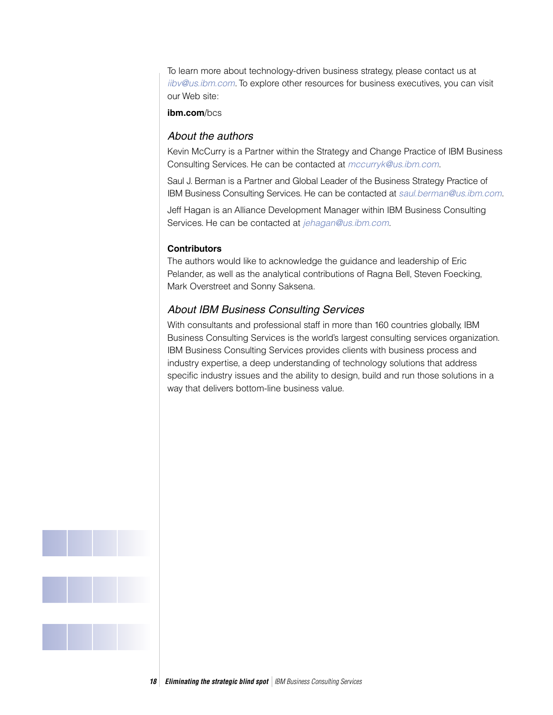To learn more about technology-driven business strategy, please contact us at iibv@us.ibm.com. To explore other resources for business executives, you can visit our Web site:

## **ibm.com**/bcs

# *About the authors*

Kevin McCurry is a Partner within the Strategy and Change Practice of IBM Business Consulting Services. He can be contacted at mccurryk@us.ibm.com.

Saul J. Berman is a Partner and Global Leader of the Business Strategy Practice of IBM Business Consulting Services. He can be contacted at saul.berman@us.ibm.com.

Jeff Hagan is an Alliance Development Manager within IBM Business Consulting Services. He can be contacted at jehagan@us.ibm.com.

## **Contributors**

The authors would like to acknowledge the guidance and leadership of Eric Pelander, as well as the analytical contributions of Ragna Bell, Steven Foecking, Mark Overstreet and Sonny Saksena.

# *About IBM Business Consulting Services*

With consultants and professional staff in more than 160 countries globally, IBM Business Consulting Services is the world's largest consulting services organization. IBM Business Consulting Services provides clients with business process and industry expertise, a deep understanding of technology solutions that address specific industry issues and the ability to design, build and run those solutions in a way that delivers bottom-line business value.

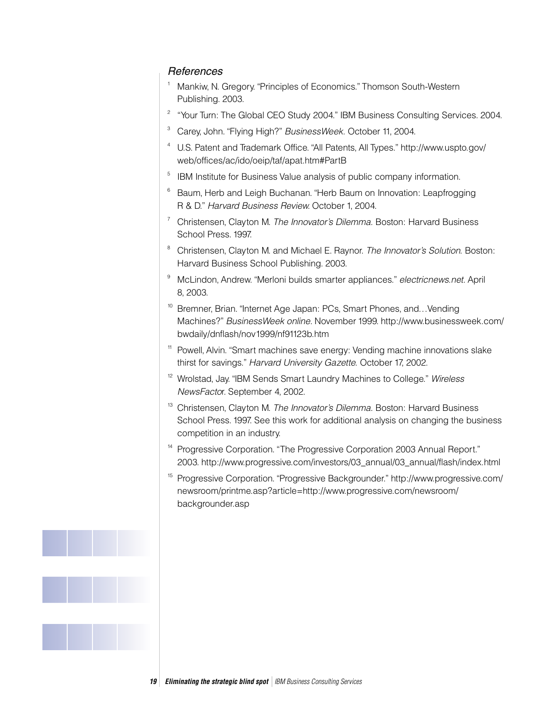# *References*

- 1 Mankiw, N. Gregory. "Principles of Economics." Thomson South-Western Publishing. 2003.
- 2 "Your Turn: The Global CEO Study 2004." IBM Business Consulting Services. 2004.
- 3 Carey, John. "Flying High?" BusinessWeek. October 11, 2004.
- 4 U.S. Patent and Trademark Office. "All Patents, All Types." http://www.uspto.gov/ web/offices/ac/ido/oeip/taf/apat.htm#PartB
- 5 IBM Institute for Business Value analysis of public company information.
- 6 Baum, Herb and Leigh Buchanan. "Herb Baum on Innovation: Leapfrogging R & D." Harvard Business Review. October 1, 2004.
- 7 Christensen, Clayton M. The Innovator's Dilemma. Boston: Harvard Business School Press. 1997.
- 8 Christensen, Clayton M. and Michael E. Raynor. The Innovator's Solution. Boston: Harvard Business School Publishing. 2003.
- 9 McLindon, Andrew. "Merloni builds smarter appliances." electricnews.net. April 8, 2003.
- <sup>10</sup> Bremner, Brian. "Internet Age Japan: PCs, Smart Phones, and...Vending Machines?" BusinessWeek online. November 1999. http://www.businessweek.com/ bwdaily/dnflash/nov1999/nf91123b.htm
- <sup>11</sup> Powell, Alvin. "Smart machines save energy: Vending machine innovations slake thirst for savings." Harvard University Gazette. October 17, 2002.
- <sup>12</sup> Wrolstad, Jay. "IBM Sends Smart Laundry Machines to College." Wireless NewsFactor. September 4, 2002.
- $13$  Christensen, Clayton M. The Innovator's Dilemma. Boston: Harvard Business School Press. 1997. See this work for additional analysis on changing the business competition in an industry.
- <sup>14</sup> Progressive Corporation. "The Progressive Corporation 2003 Annual Report." 2003. http://www.progressive.com/investors/03\_annual/03\_annual/flash/index.html
- 15 Progressive Corporation. "Progressive Backgrounder." http://www.progressive.com/ newsroom/printme.asp?article=http://www.progressive.com/newsroom/ backgrounder.asp

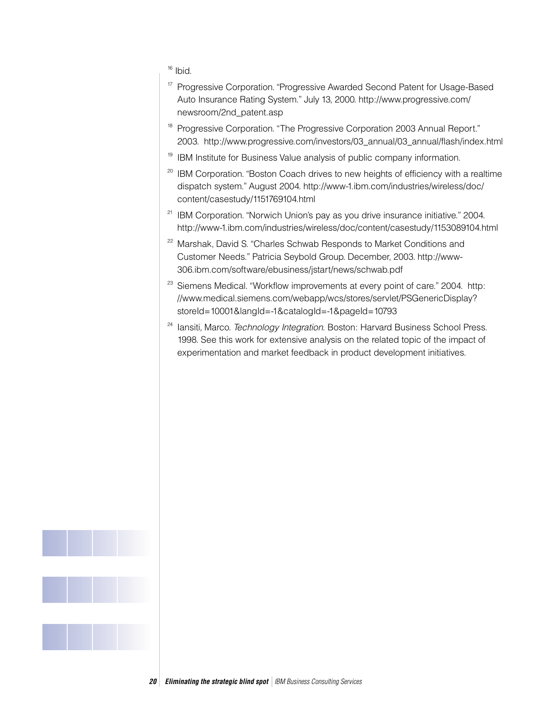$16$  Ibid.

- <sup>17</sup> Progressive Corporation. "Progressive Awarded Second Patent for Usage-Based Auto Insurance Rating System." July 13, 2000. http://www.progressive.com/ newsroom/2nd\_patent.asp
- <sup>18</sup> Progressive Corporation. "The Progressive Corporation 2003 Annual Report." 2003. http://www.progressive.com/investors/03\_annual/03\_annual/flash/index.html
- <sup>19</sup> IBM Institute for Business Value analysis of public company information.
- <sup>20</sup> IBM Corporation. "Boston Coach drives to new heights of efficiency with a realtime dispatch system." August 2004. http://www-1.ibm.com/industries/wireless/doc/ content/casestudy/1151769104.html
- <sup>21</sup> IBM Corporation. "Norwich Union's pay as you drive insurance initiative." 2004. http://www-1.ibm.com/industries/wireless/doc/content/casestudy/1153089104.html
- <sup>22</sup> Marshak, David S. "Charles Schwab Responds to Market Conditions and Customer Needs." Patricia Seybold Group. December, 2003. http://www-306.ibm.com/software/ebusiness/jstart/news/schwab.pdf
- <sup>23</sup> Siemens Medical. "Workflow improvements at every point of care." 2004. http: //www.medical.siemens.com/webapp/wcs/stores/servlet/PSGenericDisplay? storeId=10001&langId=-1&catalogId=-1&pageId=10793
- <sup>24</sup> Iansiti, Marco. Technology Integration. Boston: Harvard Business School Press. 1998. See this work for extensive analysis on the related topic of the impact of experimentation and market feedback in product development initiatives.